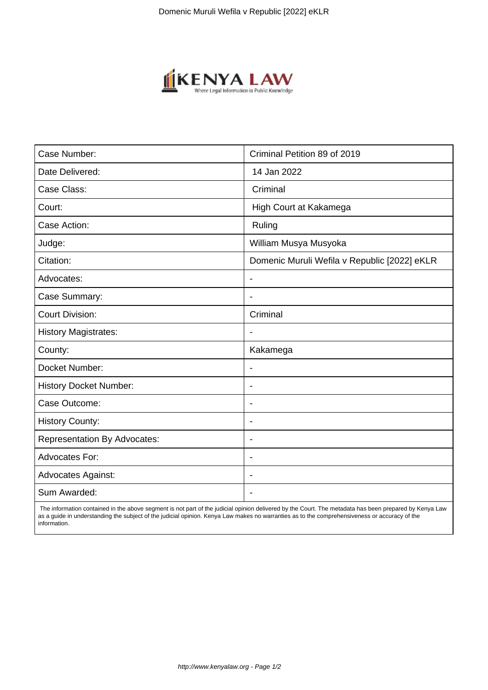

| Case Number:                        | Criminal Petition 89 of 2019                 |
|-------------------------------------|----------------------------------------------|
| Date Delivered:                     | 14 Jan 2022                                  |
| Case Class:                         | Criminal                                     |
| Court:                              | High Court at Kakamega                       |
| Case Action:                        | Ruling                                       |
| Judge:                              | William Musya Musyoka                        |
| Citation:                           | Domenic Muruli Wefila v Republic [2022] eKLR |
| Advocates:                          | $\blacksquare$                               |
| Case Summary:                       | $\blacksquare$                               |
| <b>Court Division:</b>              | Criminal                                     |
| <b>History Magistrates:</b>         |                                              |
| County:                             | Kakamega                                     |
| Docket Number:                      |                                              |
| <b>History Docket Number:</b>       | $\overline{\phantom{a}}$                     |
| Case Outcome:                       | $\blacksquare$                               |
| <b>History County:</b>              | $\overline{\phantom{a}}$                     |
| <b>Representation By Advocates:</b> | $\blacksquare$                               |
| Advocates For:                      | $\blacksquare$                               |
| <b>Advocates Against:</b>           |                                              |
| Sum Awarded:                        |                                              |

 The information contained in the above segment is not part of the judicial opinion delivered by the Court. The metadata has been prepared by Kenya Law as a guide in understanding the subject of the judicial opinion. Kenya Law makes no warranties as to the comprehensiveness or accuracy of the information.